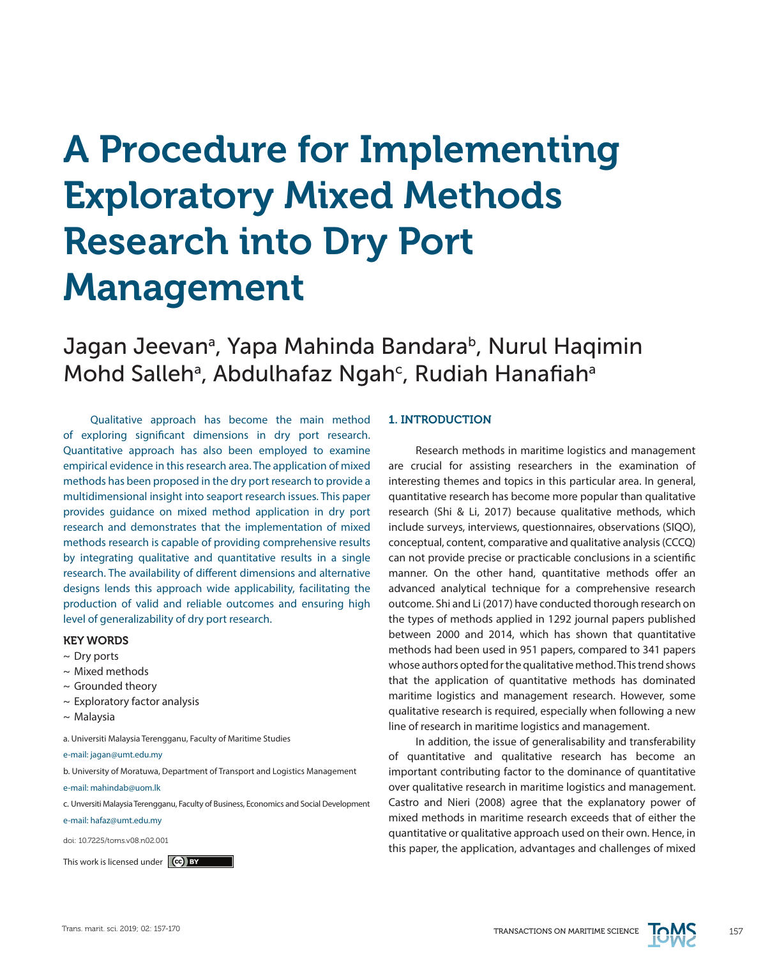# A Procedure for Implementing Exploratory Mixed Methods Research into Dry Port Management

# Jagan Jeevanª, Yapa Mahinda Bandarab, Nurul Haqimin Mohd Salleh<sup>a</sup>, Abdulhafaz Ngah<sup>c</sup>, Rudiah Hanafiah<sup>a</sup>

Qualitative approach has become the main method of exploring significant dimensions in dry port research. Quantitative approach has also been employed to examine empirical evidence in this research area. The application of mixed methods has been proposed in the dry port research to provide a multidimensional insight into seaport research issues. This paper provides guidance on mixed method application in dry port research and demonstrates that the implementation of mixed methods research is capable of providing comprehensive results by integrating qualitative and quantitative results in a single research. The availability of different dimensions and alternative designs lends this approach wide applicability, facilitating the production of valid and reliable outcomes and ensuring high level of generalizability of dry port research.

# KEY WORDS

- $\sim$  Dry ports
- ~ Mixed methods
- $\sim$  Grounded theory
- $\sim$  Exploratory factor analysis
- $\sim$  Malaysia
- a. Universiti Malaysia Terengganu, Faculty of Maritime Studies

e-mail: jagan@umt.edu.my

- b. University of Moratuwa, Department of Transport and Logistics Management
- e-mail: mahindab@uom.lk
- c. Unversiti Malaysia Terengganu, Faculty of Business, Economics and Social Development
- e-mail: hafaz@umt.edu.my

doi: 10.7225/toms.v08.n02.001

This work is licensed under (cc) BY

# 1. INTRODUCTION

Research methods in maritime logistics and management are crucial for assisting researchers in the examination of interesting themes and topics in this particular area. In general, quantitative research has become more popular than qualitative research (Shi & Li, 2017) because qualitative methods, which include surveys, interviews, questionnaires, observations (SIQO), conceptual, content, comparative and qualitative analysis (CCCQ) can not provide precise or practicable conclusions in a scientific manner. On the other hand, quantitative methods offer an advanced analytical technique for a comprehensive research outcome. Shi and Li (2017) have conducted thorough research on the types of methods applied in 1292 journal papers published between 2000 and 2014, which has shown that quantitative methods had been used in 951 papers, compared to 341 papers whose authors opted for the qualitative method. This trend shows that the application of quantitative methods has dominated maritime logistics and management research. However, some qualitative research is required, especially when following a new line of research in maritime logistics and management.

In addition, the issue of generalisability and transferability of quantitative and qualitative research has become an important contributing factor to the dominance of quantitative over qualitative research in maritime logistics and management. Castro and Nieri (2008) agree that the explanatory power of mixed methods in maritime research exceeds that of either the quantitative or qualitative approach used on their own. Hence, in this paper, the application, advantages and challenges of mixed

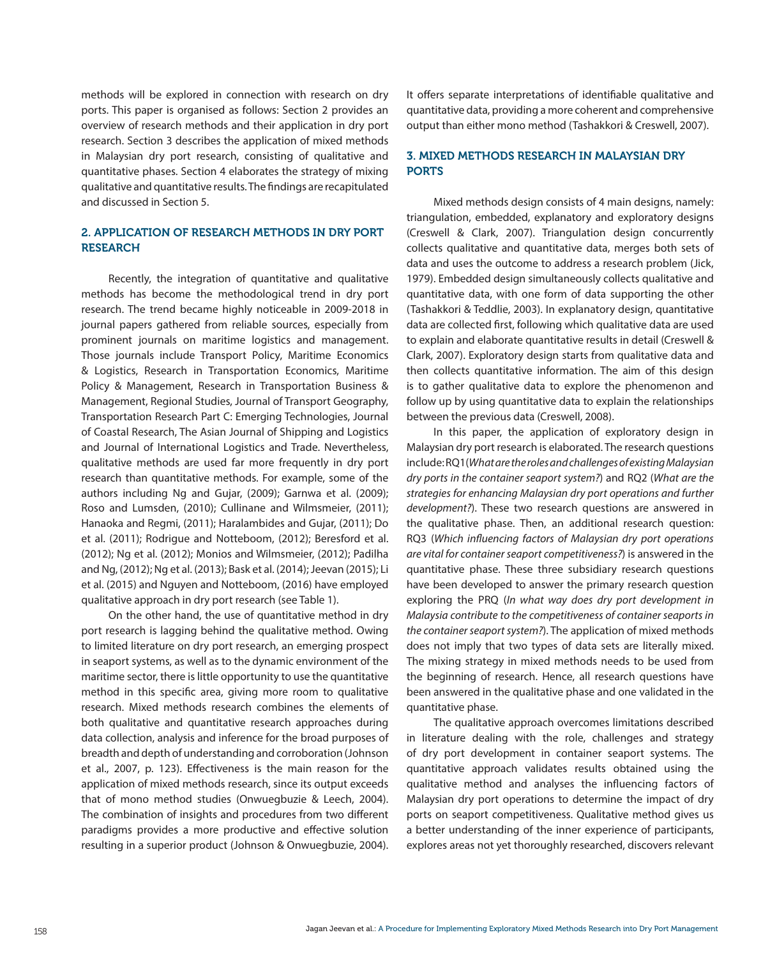methods will be explored in connection with research on dry ports. This paper is organised as follows: Section 2 provides an overview of research methods and their application in dry port research. Section 3 describes the application of mixed methods in Malaysian dry port research, consisting of qualitative and quantitative phases. Section 4 elaborates the strategy of mixing qualitative and quantitative results. The findings are recapitulated and discussed in Section 5.

# 2. APPLICATION OF RESEARCH METHODS IN DRY PORT RESEARCH

Recently, the integration of quantitative and qualitative methods has become the methodological trend in dry port research. The trend became highly noticeable in 2009-2018 in journal papers gathered from reliable sources, especially from prominent journals on maritime logistics and management. Those journals include Transport Policy, Maritime Economics & Logistics, Research in Transportation Economics, Maritime Policy & Management, Research in Transportation Business & Management, Regional Studies, Journal of Transport Geography, Transportation Research Part C: Emerging Technologies, Journal of Coastal Research, The Asian Journal of Shipping and Logistics and Journal of International Logistics and Trade. Nevertheless, qualitative methods are used far more frequently in dry port research than quantitative methods. For example, some of the authors including Ng and Gujar, (2009); Garnwa et al. (2009); Roso and Lumsden, (2010); Cullinane and Wilmsmeier, (2011); Hanaoka and Regmi, (2011); Haralambides and Gujar, (2011); Do et al. (2011); Rodrigue and Notteboom, (2012); Beresford et al. (2012); Ng et al. (2012); Monios and Wilmsmeier, (2012); Padilha and Ng, (2012); Ng et al. (2013); Bask et al. (2014); Jeevan (2015); Li et al. (2015) and Nguyen and Notteboom, (2016) have employed qualitative approach in dry port research (see Table 1).

On the other hand, the use of quantitative method in dry port research is lagging behind the qualitative method. Owing to limited literature on dry port research, an emerging prospect in seaport systems, as well as to the dynamic environment of the maritime sector, there is little opportunity to use the quantitative method in this specific area, giving more room to qualitative research. Mixed methods research combines the elements of both qualitative and quantitative research approaches during data collection, analysis and inference for the broad purposes of breadth and depth of understanding and corroboration (Johnson et al., 2007, p. 123). Effectiveness is the main reason for the application of mixed methods research, since its output exceeds that of mono method studies (Onwuegbuzie & Leech, 2004). The combination of insights and procedures from two different paradigms provides a more productive and effective solution resulting in a superior product (Johnson & Onwuegbuzie, 2004).

It offers separate interpretations of identifiable qualitative and quantitative data, providing a more coherent and comprehensive output than either mono method (Tashakkori & Creswell, 2007).

# 3. MIXED METHODS RESEARCH IN MALAYSIAN DRY PORTS

Mixed methods design consists of 4 main designs, namely: triangulation, embedded, explanatory and exploratory designs (Creswell & Clark, 2007). Triangulation design concurrently collects qualitative and quantitative data, merges both sets of data and uses the outcome to address a research problem (Jick, 1979). Embedded design simultaneously collects qualitative and quantitative data, with one form of data supporting the other (Tashakkori & Teddlie, 2003). In explanatory design, quantitative data are collected first, following which qualitative data are used to explain and elaborate quantitative results in detail (Creswell & Clark, 2007). Exploratory design starts from qualitative data and then collects quantitative information. The aim of this design is to gather qualitative data to explore the phenomenon and follow up by using quantitative data to explain the relationships between the previous data (Creswell, 2008).

In this paper, the application of exploratory design in Malaysian dry port research is elaborated. The research questions include: RQ1(*What are the roles and challenges of existing Malaysian dry ports in the container seaport system?*) and RQ2 (*What are the strategies for enhancing Malaysian dry port operations and further development?*). These two research questions are answered in the qualitative phase. Then, an additional research question: RQ3 (*Which influencing factors of Malaysian dry port operations are vital for container seaport competitiveness?*) is answered in the quantitative phase. These three subsidiary research questions have been developed to answer the primary research question exploring the PRQ (*In what way does dry port development in Malaysia contribute to the competitiveness of container seaports in the container seaport system?*). The application of mixed methods does not imply that two types of data sets are literally mixed. The mixing strategy in mixed methods needs to be used from the beginning of research. Hence, all research questions have been answered in the qualitative phase and one validated in the quantitative phase.

The qualitative approach overcomes limitations described in literature dealing with the role, challenges and strategy of dry port development in container seaport systems. The quantitative approach validates results obtained using the qualitative method and analyses the influencing factors of Malaysian dry port operations to determine the impact of dry ports on seaport competitiveness. Qualitative method gives us a better understanding of the inner experience of participants, explores areas not yet thoroughly researched, discovers relevant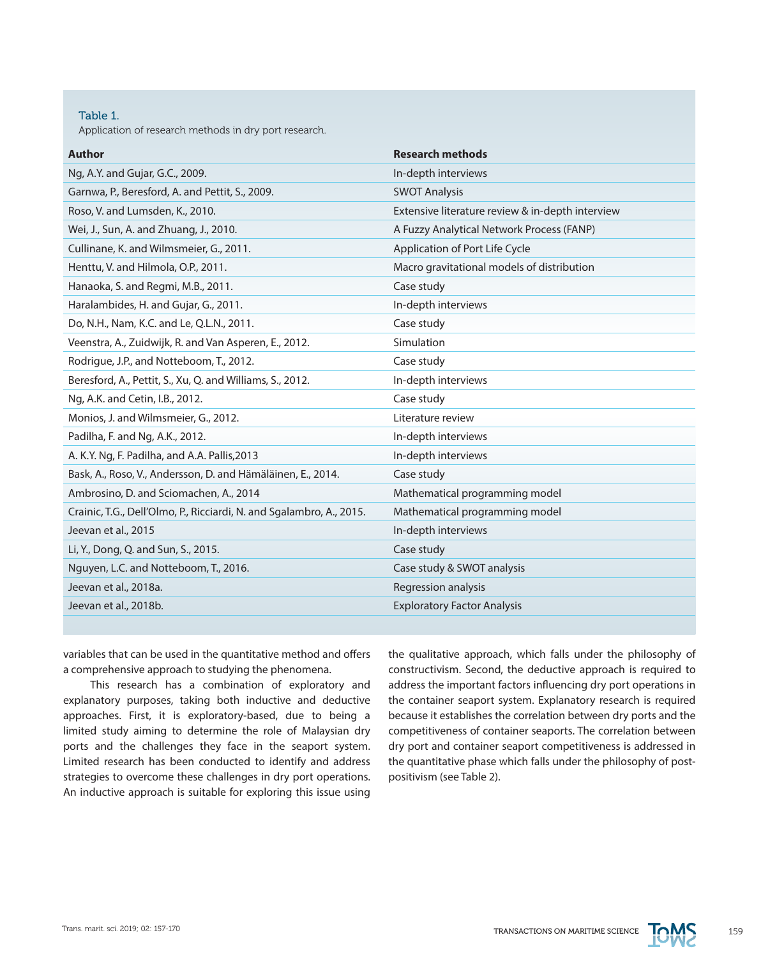#### Table 1.

Application of research methods in dry port research.

| <b>Author</b>                                                        | <b>Research methods</b>                          |
|----------------------------------------------------------------------|--------------------------------------------------|
| Ng, A.Y. and Gujar, G.C., 2009.                                      | In-depth interviews                              |
| Garnwa, P., Beresford, A. and Pettit, S., 2009.                      | <b>SWOT Analysis</b>                             |
| Roso, V. and Lumsden, K., 2010.                                      | Extensive literature review & in-depth interview |
| Wei, J., Sun, A. and Zhuang, J., 2010.                               | A Fuzzy Analytical Network Process (FANP)        |
| Cullinane, K. and Wilmsmeier, G., 2011.                              | Application of Port Life Cycle                   |
| Henttu, V. and Hilmola, O.P., 2011.                                  | Macro gravitational models of distribution       |
| Hanaoka, S. and Regmi, M.B., 2011.                                   | Case study                                       |
| Haralambides, H. and Gujar, G., 2011.                                | In-depth interviews                              |
| Do, N.H., Nam, K.C. and Le, Q.L.N., 2011.                            | Case study                                       |
| Veenstra, A., Zuidwijk, R. and Van Asperen, E., 2012.                | Simulation                                       |
| Rodrigue, J.P., and Notteboom, T., 2012.                             | Case study                                       |
| Beresford, A., Pettit, S., Xu, Q. and Williams, S., 2012.            | In-depth interviews                              |
| Ng, A.K. and Cetin, I.B., 2012.                                      | Case study                                       |
| Monios, J. and Wilmsmeier, G., 2012.                                 | Literature review                                |
| Padilha, F. and Ng, A.K., 2012.                                      | In-depth interviews                              |
| A. K.Y. Ng, F. Padilha, and A.A. Pallis, 2013                        | In-depth interviews                              |
| Bask, A., Roso, V., Andersson, D. and Hämäläinen, E., 2014.          | Case study                                       |
| Ambrosino, D. and Sciomachen, A., 2014                               | Mathematical programming model                   |
| Crainic, T.G., Dell'Olmo, P., Ricciardi, N. and Sgalambro, A., 2015. | Mathematical programming model                   |
| Jeevan et al., 2015                                                  | In-depth interviews                              |
| Li, Y., Dong, Q. and Sun, S., 2015.                                  | Case study                                       |
| Nguyen, L.C. and Notteboom, T., 2016.                                | Case study & SWOT analysis                       |
| Jeevan et al., 2018a.                                                | Regression analysis                              |
| Jeevan et al., 2018b.                                                | <b>Exploratory Factor Analysis</b>               |
|                                                                      |                                                  |

variables that can be used in the quantitative method and offers a comprehensive approach to studying the phenomena.

This research has a combination of exploratory and explanatory purposes, taking both inductive and deductive approaches. First, it is exploratory-based, due to being a limited study aiming to determine the role of Malaysian dry ports and the challenges they face in the seaport system. Limited research has been conducted to identify and address strategies to overcome these challenges in dry port operations. An inductive approach is suitable for exploring this issue using

the qualitative approach, which falls under the philosophy of constructivism. Second, the deductive approach is required to address the important factors influencing dry port operations in the container seaport system. Explanatory research is required because it establishes the correlation between dry ports and the competitiveness of container seaports. The correlation between dry port and container seaport competitiveness is addressed in the quantitative phase which falls under the philosophy of postpositivism (see Table 2).

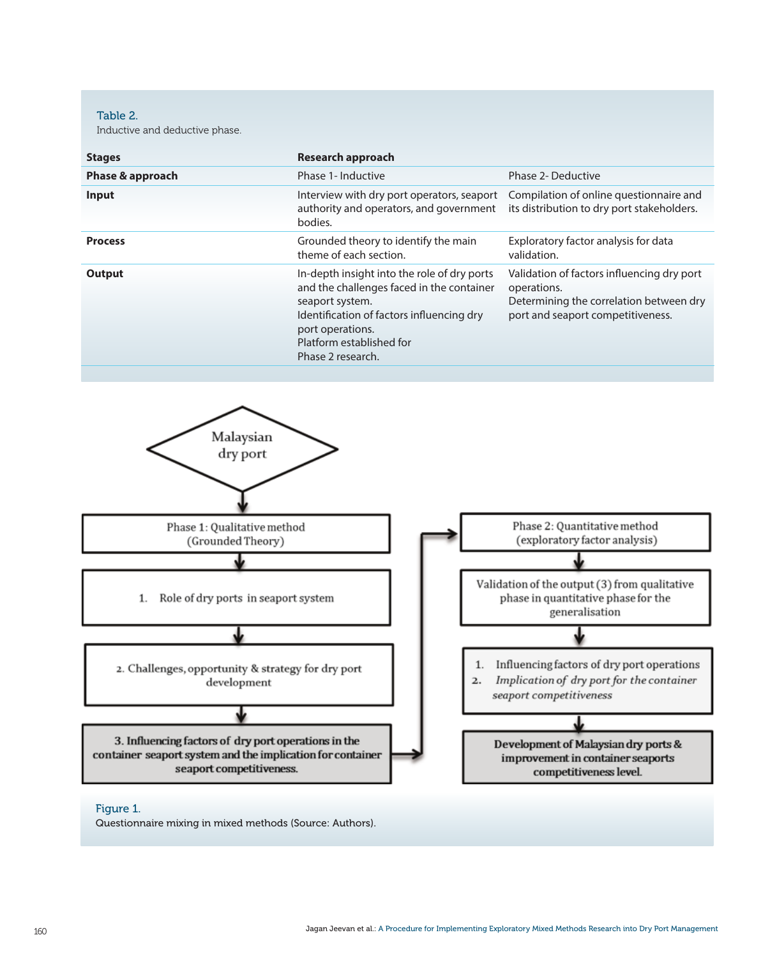Table 2.

Inductive and deductive phase.

| Phase & approach                                                  | <b>Research approach</b>                                                                                                                                                                                                      |                                                                                                                                           |  |  |
|-------------------------------------------------------------------|-------------------------------------------------------------------------------------------------------------------------------------------------------------------------------------------------------------------------------|-------------------------------------------------------------------------------------------------------------------------------------------|--|--|
|                                                                   | Phase 1- Inductive                                                                                                                                                                                                            | Phase 2- Deductive                                                                                                                        |  |  |
| Input                                                             | Interview with dry port operators, seaport<br>authority and operators, and government<br>bodies.                                                                                                                              | Compilation of online questionnaire and<br>its distribution to dry port stakeholders.                                                     |  |  |
| <b>Process</b>                                                    | Grounded theory to identify the main<br>theme of each section.                                                                                                                                                                | Exploratory factor analysis for data<br>validation.                                                                                       |  |  |
| <b>Output</b>                                                     | In-depth insight into the role of dry ports<br>and the challenges faced in the container<br>seaport system.<br>Identification of factors influencing dry<br>port operations.<br>Platform established for<br>Phase 2 research. | Validation of factors influencing dry port<br>operations.<br>Determining the correlation between dry<br>port and seaport competitiveness. |  |  |
| Malaysian                                                         |                                                                                                                                                                                                                               |                                                                                                                                           |  |  |
| dry port                                                          |                                                                                                                                                                                                                               |                                                                                                                                           |  |  |
|                                                                   |                                                                                                                                                                                                                               |                                                                                                                                           |  |  |
| Phase 1: Qualitative method<br>(Grounded Theory)                  |                                                                                                                                                                                                                               | Phase 2: Quantitative method<br>(exploratory factor analysis)                                                                             |  |  |
|                                                                   |                                                                                                                                                                                                                               |                                                                                                                                           |  |  |
| Role of dry ports in seaport system<br>1.                         |                                                                                                                                                                                                                               | Validation of the output (3) from qualitative<br>phase in quantitative phase for the<br>generalisation                                    |  |  |
|                                                                   |                                                                                                                                                                                                                               |                                                                                                                                           |  |  |
| 2. Challenges, opportunity & strategy for dry port<br>development | 1.<br>2.                                                                                                                                                                                                                      | Influencing factors of dry port operations<br>Implication of dry port for the container<br>seaport competitiveness                        |  |  |

3. Influencing factors of dry port operations in the container seaport system and the implication for container seaport competitiveness.

Development of Malaysian dry ports & improvement in container seaports competitiveness level.

# Figure 1.

Questionnaire mixing in mixed methods (Source: Authors).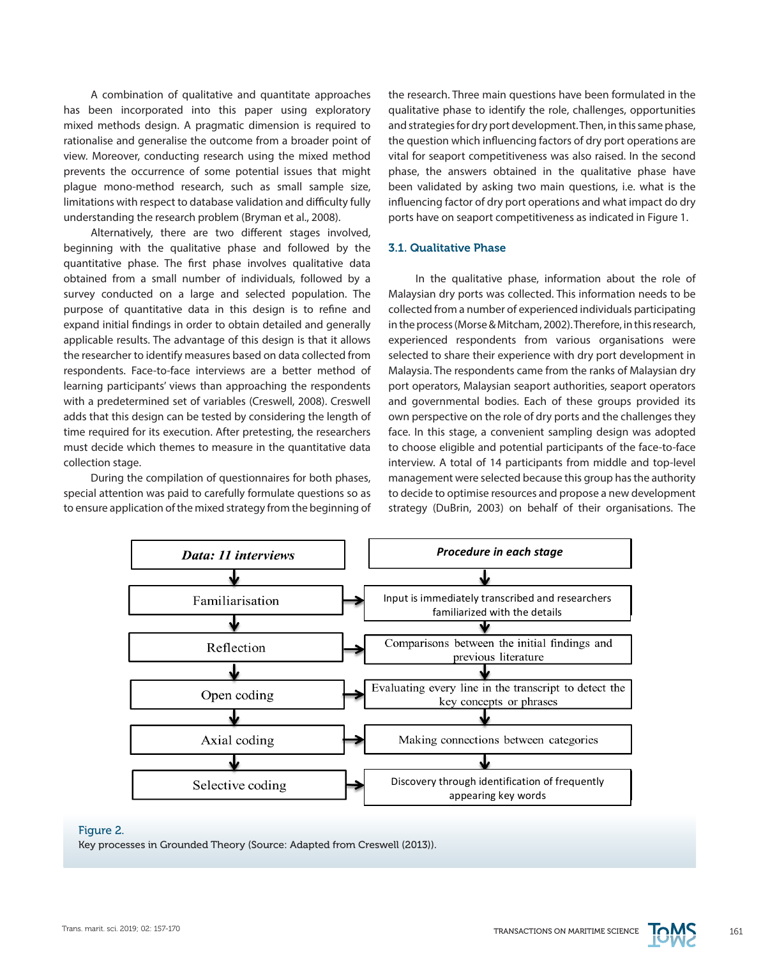A combination of qualitative and quantitate approaches has been incorporated into this paper using exploratory mixed methods design. A pragmatic dimension is required to and strategies for dry port development. Then, in the emergence in the emergence in the emergence in the emergence in the emergence in the emergence in the emergen rationalise and generalise the outcome from a broader point of the question which influencing factors of d view. Moreover, conducting research using the mixed method vital for seaport competitiveness was also ra prevents the occurrence of some potential issues that might plevents the occurrence or some potential issues that might is phase, the answers obtained in the quantative<br>plague mono-method research, such as small sample size, been validated by asking two main questions, i. initations with respect to database validation and difficulty fully influencing factor of dry port operations and understanding the research problem (Bryman et al., 2008).

Alternatively, there are two different stages involved, Alternatively, there are two different stages involved,<br>beginning with the qualitative phase and followed by the **3.1. Qualitative Phase** quantitative phase. The first phase involves qualitative data obtained from a small number of individuals, followed by a statush the qualitative phase, information survey conducted on a large and selected population. The survey conducted on a large and selected population. The limitalysian dry ports was collected, rins in<br>purpose of quantitative data in this design is to refine and licelected from a number of experienced in .<br>expand initial findings in order to obtain detailed and generally in the proces applicable results. The advantage of this design is that it allows the researcher to identify measures based on data collected from respondents. Face-to-face interviews are a better method of learning participants' views than approaching the respondents with a predetermined set of variables (Creswell, 2008). Creswell adds that this design can be tested by considering the length of own perspective on the role of dry ports and time required for its execution. After pretesting, the researchers must decide which themes to measure in the quantitative data collection stage.

special attention was paid to carefully formulate questions so as to decide to optimise resources and propose a ne to ensure application of the mixed strategy from the beginning of burategy (DuBrin, 2003) on be

ination of qualitative and quantitate approaches the research. Three main questions have been formulated in the<br>in the integration of the integrations in the integration of the integrations in the integration of the integr qualitative phase to identify the role, challenges, opportunities and strategies for dry port development. Then, in this same phase, the question which influencing factors of dry port operations are vital for seaport competitiveness was also raised. In the second phase, the answers obtained in the qualitative phase have been validated by asking two main questions, i.e. what is the influencing factor of dry port operations and what impact do dry g the research problem (Bryman et al., 2008). ports have on seaport competitiveness as indicated in Figure 1.

#### 3.1. Qualitative Phase

During the compilation of questionnaires for both phases, management were selected because this group ha In the qualitative phase, information about the role of Malaysian dry ports was collected. This information needs to be collected from a number of experienced individuals participating in the process (Morse & Mitcham, 2002). Therefore, in this research, experienced respondents from various organisations were r to identify measures based on data collected from selected to share their experience with dry port development in Face-to-face interviews are a better method of Malaysia. The respondents came from the ranks of Malaysian dry  $\frac{1}{2}$ port operators, Malaysian seaport authorities, seaport operators erparits views than approacining the respondents port operators, malaysian seaport dathomets, scaport operators<br>ermined set of variables (Creswell, 2008). Creswell and governmental bodies. Each of these groups provided its own perspective on the role of dry ports and the challenges they for its execution. After pretesting, the researchers face. In this stage, a convenient sampling design was adopted to choose eligible and potential participants of the face-to-face which themes to measure in the quantitative data and to choose engible and potential participants of the face-to-face<br>interview. A total of 14 participants from middle and top-level management were selected because this group has the authority to decide to optimise resources and propose a new development strategy (DuBrin, 2003) on behalf of their organisations. The



#### Figure 2.

Key processes in Grounded Theory (Source: Adapted from Creswell (2013)). (2013))

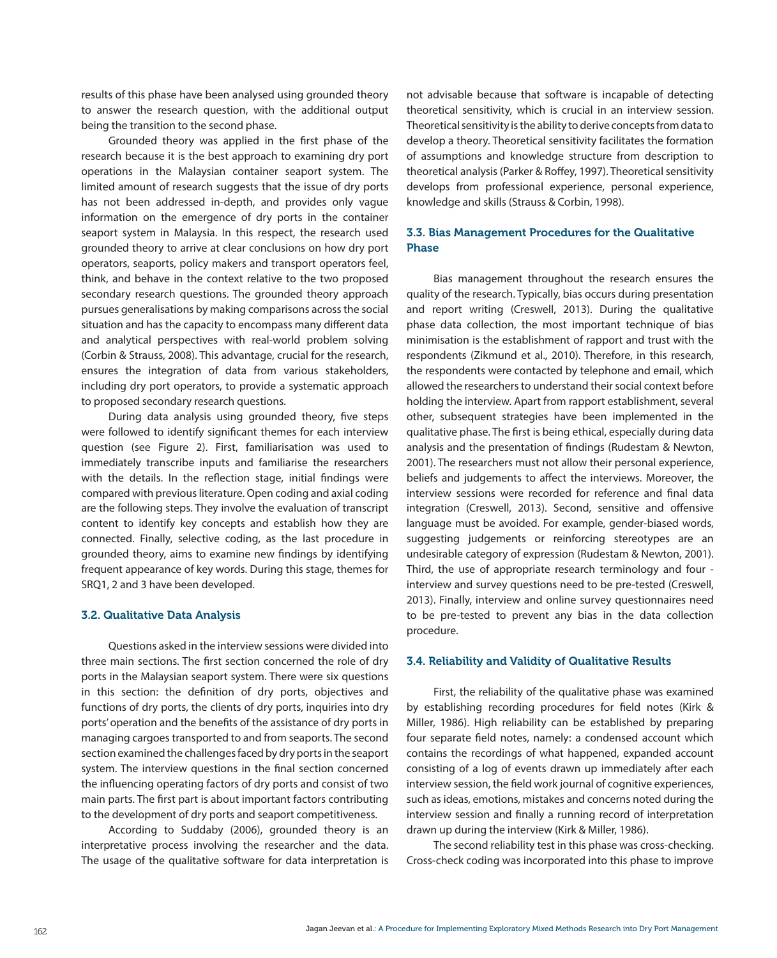results of this phase have been analysed using grounded theory to answer the research question, with the additional output being the transition to the second phase.

Grounded theory was applied in the first phase of the research because it is the best approach to examining dry port operations in the Malaysian container seaport system. The limited amount of research suggests that the issue of dry ports has not been addressed in-depth, and provides only vague information on the emergence of dry ports in the container seaport system in Malaysia. In this respect, the research used grounded theory to arrive at clear conclusions on how dry port operators, seaports, policy makers and transport operators feel, think, and behave in the context relative to the two proposed secondary research questions. The grounded theory approach pursues generalisations by making comparisons across the social situation and has the capacity to encompass many different data and analytical perspectives with real-world problem solving (Corbin & Strauss, 2008). This advantage, crucial for the research, ensures the integration of data from various stakeholders, including dry port operators, to provide a systematic approach to proposed secondary research questions.

During data analysis using grounded theory, five steps were followed to identify significant themes for each interview question (see Figure 2). First, familiarisation was used to immediately transcribe inputs and familiarise the researchers with the details. In the reflection stage, initial findings were compared with previous literature. Open coding and axial coding are the following steps. They involve the evaluation of transcript content to identify key concepts and establish how they are connected. Finally, selective coding, as the last procedure in grounded theory, aims to examine new findings by identifying frequent appearance of key words. During this stage, themes for SRQ1, 2 and 3 have been developed.

#### 3.2. Qualitative Data Analysis

Questions asked in the interview sessions were divided into three main sections. The first section concerned the role of dry ports in the Malaysian seaport system. There were six questions in this section: the definition of dry ports, objectives and functions of dry ports, the clients of dry ports, inquiries into dry ports' operation and the benefits of the assistance of dry ports in managing cargoes transported to and from seaports. The second section examined the challenges faced by dry ports in the seaport system. The interview questions in the final section concerned the influencing operating factors of dry ports and consist of two main parts. The first part is about important factors contributing to the development of dry ports and seaport competitiveness.

According to Suddaby (2006), grounded theory is an interpretative process involving the researcher and the data. The usage of the qualitative software for data interpretation is not advisable because that software is incapable of detecting theoretical sensitivity, which is crucial in an interview session. Theoretical sensitivity is the ability to derive concepts from data to develop a theory. Theoretical sensitivity facilitates the formation of assumptions and knowledge structure from description to theoretical analysis (Parker & Roffey, 1997). Theoretical sensitivity develops from professional experience, personal experience, knowledge and skills (Strauss & Corbin, 1998).

# 3.3. Bias Management Procedures for the Qualitative Phase

Bias management throughout the research ensures the quality of the research. Typically, bias occurs during presentation and report writing (Creswell, 2013). During the qualitative phase data collection, the most important technique of bias minimisation is the establishment of rapport and trust with the respondents (Zikmund et al., 2010). Therefore, in this research, the respondents were contacted by telephone and email, which allowed the researchers to understand their social context before holding the interview. Apart from rapport establishment, several other, subsequent strategies have been implemented in the qualitative phase. The first is being ethical, especially during data analysis and the presentation of findings (Rudestam & Newton, 2001). The researchers must not allow their personal experience, beliefs and judgements to affect the interviews. Moreover, the interview sessions were recorded for reference and final data integration (Creswell, 2013). Second, sensitive and offensive language must be avoided. For example, gender-biased words, suggesting judgements or reinforcing stereotypes are an undesirable category of expression (Rudestam & Newton, 2001). Third, the use of appropriate research terminology and four interview and survey questions need to be pre-tested (Creswell, 2013). Finally, interview and online survey questionnaires need to be pre-tested to prevent any bias in the data collection procedure.

# 3.4. Reliability and Validity of Qualitative Results

First, the reliability of the qualitative phase was examined by establishing recording procedures for field notes (Kirk & Miller, 1986). High reliability can be established by preparing four separate field notes, namely: a condensed account which contains the recordings of what happened, expanded account consisting of a log of events drawn up immediately after each interview session, the field work journal of cognitive experiences, such as ideas, emotions, mistakes and concerns noted during the interview session and finally a running record of interpretation drawn up during the interview (Kirk & Miller, 1986).

The second reliability test in this phase was cross-checking. Cross-check coding was incorporated into this phase to improve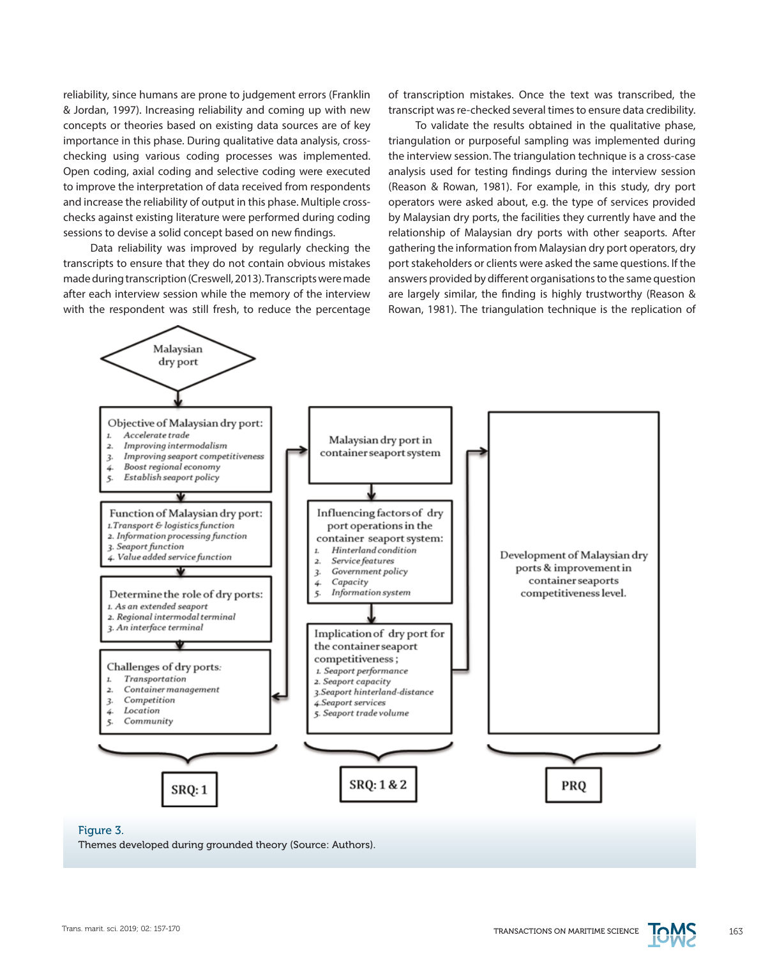reliability, since humans are prone to judgement errors (Franklin & Jordan, 1997). Increasing reliability and coming up with new concepts or theories based on existing data sources are of key importance in this phase. During qualitative data analysis, crosschecking using various coding processes was implemented. Open coding, axial coding and selective coding were executed to improve the interpretation of data received from respondents and increase the reliability of output in this phase. Multiple crosschecks against existing literature were performed during coding sessions to devise a solid concept based on new findings.

Data reliability was improved by regularly checking the transcripts to ensure that they do not contain obvious mistakes made during transcription (Creswell, 2013). Transcripts were made after each interview session while the memory of the interview with the respondent was still fresh, to reduce the percentage of transcription mistakes. Once the text was transcribed, the transcript was re-checked several times to ensure data credibility.

To validate the results obtained in the qualitative phase, triangulation or purposeful sampling was implemented during the interview session. The triangulation technique is a cross-case analysis used for testing findings during the interview session (Reason & Rowan, 1981). For example, in this study, dry port operators were asked about, e.g. the type of services provided by Malaysian dry ports, the facilities they currently have and the relationship of Malaysian dry ports with other seaports. After gathering the information from Malaysian dry port operators, dry port stakeholders or clients were asked the same questions. If the answers provided by different organisations to the same question are largely similar, the finding is highly trustworthy (Reason & Rowan, 1981). The triangulation technique is the replication of



# Figure 3.

Themes developed during grounded theory (Source: Authors).

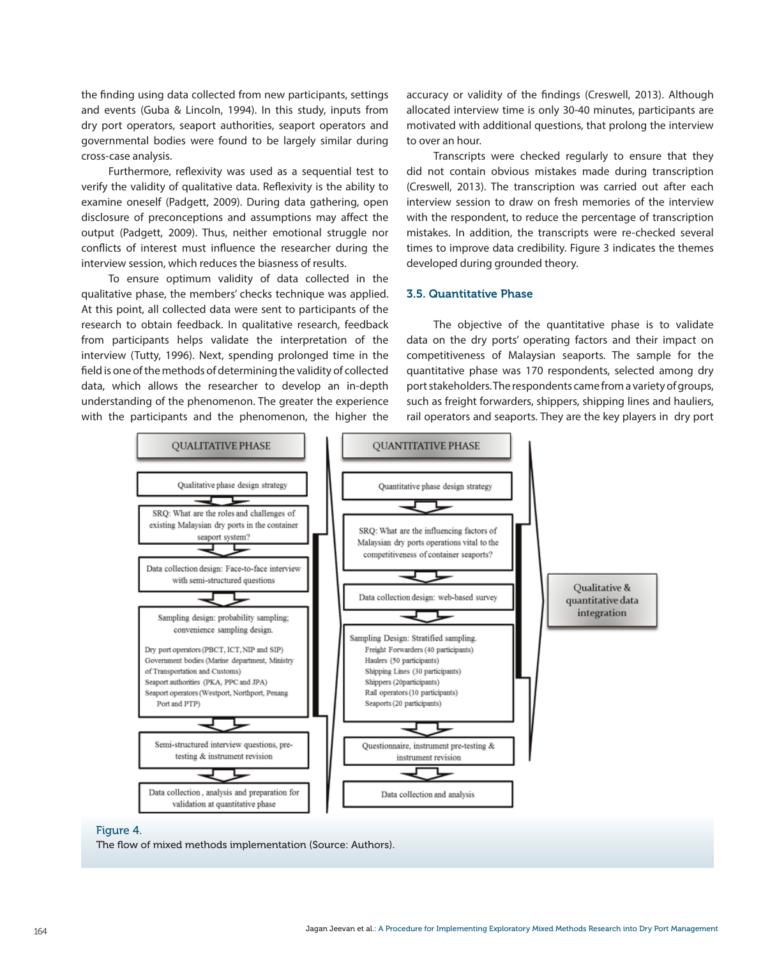the finding using data collected from new participants, settings and events (Guba & Lincoln, 1994). In this study, inputs from dry port operators, seaport authorities, seaport operators and governmental bodies were found to be largely similar during cross-case analysis.

Furthermore, reflexivity was used as a sequential test to verify the validity of qualitative data. Reflexivity is the ability to examine oneself (Padgett, 2009). During data gathering, open disclosure of preconceptions and assumptions may affect the output (Padgett, 2009). Thus, neither emotional struggle nor conflicts of interest must influence the researcher during the interview session, which reduces the biasness of results.

To ensure optimum validity of data collected in the qualitative phase, the members' checks technique was applied. At this point, all collected data were sent to participants of the research to obtain feedback. In qualitative research, feedback from participants helps validate the interpretation of the interview (Tutty, 1996). Next, spending prolonged time in the field is one of the methods of determining the validity of collected data, which allows the researcher to develop an in-depth understanding of the phenomenon. The greater the experience with the participants and the phenomenon, the higher the

accuracy or validity of the findings (Creswell, 2013). Although allocated interview time is only 30-40 minutes, participants are motivated with additional questions, that prolong the interview to over an hour.

Transcripts were checked regularly to ensure that they did not contain obvious mistakes made during transcription (Creswell, 2013). The transcription was carried out after each interview session to draw on fresh memories of the interview with the respondent, to reduce the percentage of transcription mistakes. In addition, the transcripts were re-checked several times to improve data credibility. Figure 3 indicates the themes developed during grounded theory.

## 3.5. Quantitative Phase

The objective of the quantitative phase is to validate data on the dry ports' operating factors and their impact on competitiveness of Malaysian seaports. The sample for the quantitative phase was 170 respondents, selected among dry port stakeholders. The respondents came from a variety of groups, such as freight forwarders, shippers, shipping lines and hauliers, rail operators and seaports. They are the key players in dry port



#### Figure 4.

The flow of mixed methods implementation (Source: Authors).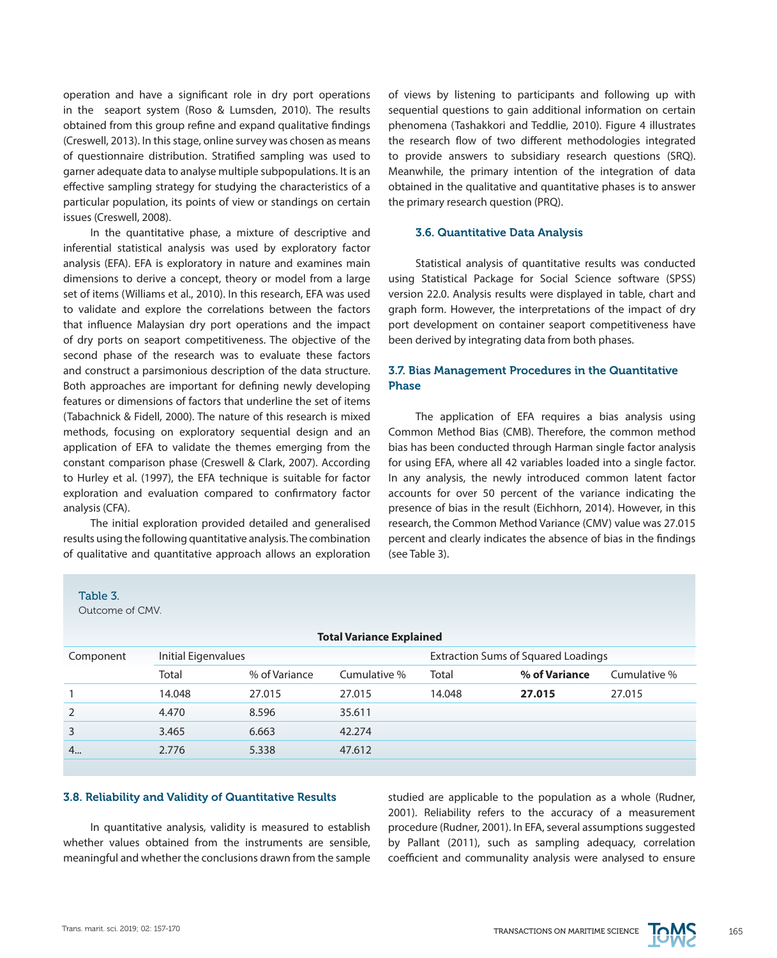operation and have a significant role in dry port operations in the seaport system (Roso & Lumsden, 2010). The results obtained from this group refine and expand qualitative findings (Creswell, 2013). In this stage, online survey was chosen as means of questionnaire distribution. Stratified sampling was used to garner adequate data to analyse multiple subpopulations. It is an effective sampling strategy for studying the characteristics of a particular population, its points of view or standings on certain issues (Creswell, 2008).

In the quantitative phase, a mixture of descriptive and inferential statistical analysis was used by exploratory factor analysis (EFA). EFA is exploratory in nature and examines main dimensions to derive a concept, theory or model from a large set of items (Williams et al., 2010). In this research, EFA was used to validate and explore the correlations between the factors that influence Malaysian dry port operations and the impact of dry ports on seaport competitiveness. The objective of the second phase of the research was to evaluate these factors and construct a parsimonious description of the data structure. Both approaches are important for defining newly developing features or dimensions of factors that underline the set of items (Tabachnick & Fidell, 2000). The nature of this research is mixed methods, focusing on exploratory sequential design and an application of EFA to validate the themes emerging from the constant comparison phase (Creswell & Clark, 2007). According to Hurley et al. (1997), the EFA technique is suitable for factor exploration and evaluation compared to confirmatory factor analysis (CFA).

The initial exploration provided detailed and generalised results using the following quantitative analysis. The combination of qualitative and quantitative approach allows an exploration of views by listening to participants and following up with sequential questions to gain additional information on certain phenomena (Tashakkori and Teddlie, 2010). Figure 4 illustrates the research flow of two different methodologies integrated to provide answers to subsidiary research questions (SRQ). Meanwhile, the primary intention of the integration of data obtained in the qualitative and quantitative phases is to answer the primary research question (PRQ).

# 3.6. Quantitative Data Analysis

Statistical analysis of quantitative results was conducted using Statistical Package for Social Science software (SPSS) version 22.0. Analysis results were displayed in table, chart and graph form. However, the interpretations of the impact of dry port development on container seaport competitiveness have been derived by integrating data from both phases.

# 3.7. Bias Management Procedures in the Quantitative Phase

The application of EFA requires a bias analysis using Common Method Bias (CMB). Therefore, the common method bias has been conducted through Harman single factor analysis for using EFA, where all 42 variables loaded into a single factor. In any analysis, the newly introduced common latent factor accounts for over 50 percent of the variance indicating the presence of bias in the result (Eichhorn, 2014). However, in this research, the Common Method Variance (CMV) value was 27.015 percent and clearly indicates the absence of bias in the findings (see Table 3).

Outcome of CMV.

| <b>Total Variance Explained</b> |                     |               |              |                                            |               |              |  |  |  |
|---------------------------------|---------------------|---------------|--------------|--------------------------------------------|---------------|--------------|--|--|--|
| Component                       | Initial Eigenvalues |               |              | <b>Extraction Sums of Squared Loadings</b> |               |              |  |  |  |
|                                 | Total               | % of Variance | Cumulative % | Total                                      | % of Variance | Cumulative % |  |  |  |
|                                 | 14.048              | 27.015        | 27.015       | 14.048                                     | 27.015        | 27.015       |  |  |  |
| $\overline{2}$                  | 4.470               | 8.596         | 35.611       |                                            |               |              |  |  |  |
| 3                               | 3.465               | 6.663         | 42.274       |                                            |               |              |  |  |  |
| 4                               | 2.776               | 5.338         | 47.612       |                                            |               |              |  |  |  |
|                                 |                     |               |              |                                            |               |              |  |  |  |

#### 3.8. Reliability and Validity of Quantitative Results

In quantitative analysis, validity is measured to establish whether values obtained from the instruments are sensible, meaningful and whether the conclusions drawn from the sample studied are applicable to the population as a whole (Rudner, 2001). Reliability refers to the accuracy of a measurement procedure (Rudner, 2001). In EFA, several assumptions suggested by Pallant (2011), such as sampling adequacy, correlation coefficient and communality analysis were analysed to ensure

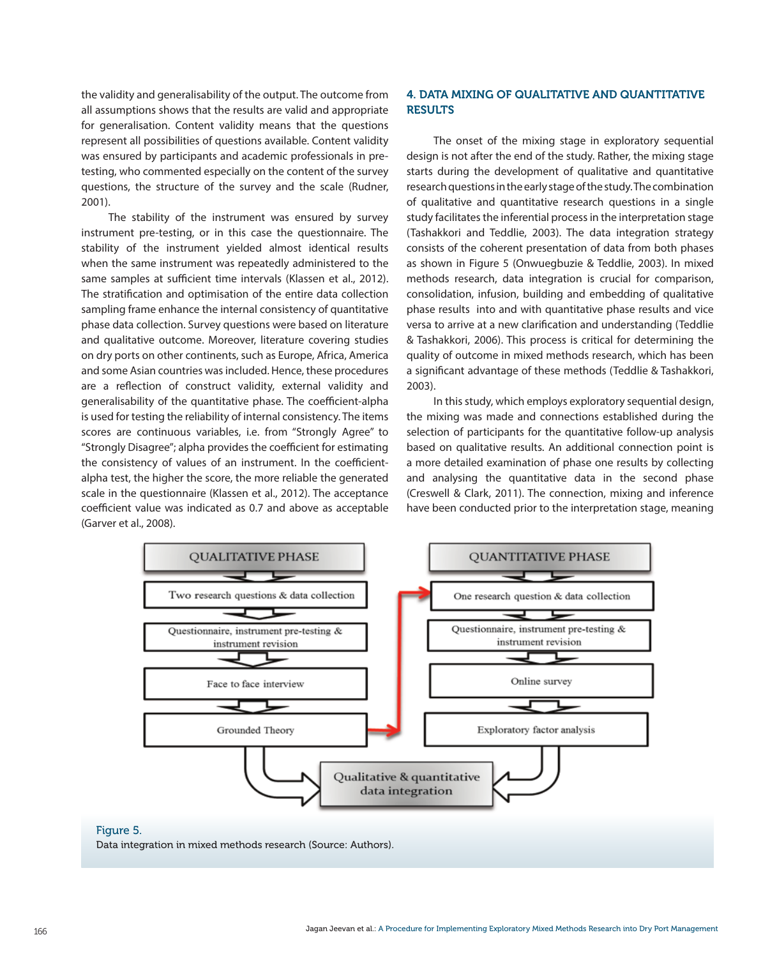the validity and generalisability of the output. The outcome from all assumptions shows that the results are valid and appropriate for generalisation. Content validity means that the questions represent all possibilities of questions available. Content validity was ensured by participants and academic professionals in pretesting, who commented especially on the content of the survey questions, the structure of the survey and the scale (Rudner, 2001).

The stability of the instrument was ensured by survey instrument pre-testing, or in this case the questionnaire. The stability of the instrument yielded almost identical results when the same instrument was repeatedly administered to the same samples at sufficient time intervals (Klassen et al., 2012). The stratification and optimisation of the entire data collection sampling frame enhance the internal consistency of quantitative phase data collection. Survey questions were based on literature and qualitative outcome. Moreover, literature covering studies on dry ports on other continents, such as Europe, Africa, America and some Asian countries was included. Hence, these procedures are a reflection of construct validity, external validity and generalisability of the quantitative phase. The coefficient-alpha is used for testing the reliability of internal consistency. The items scores are continuous variables, i.e. from "Strongly Agree" to "Strongly Disagree"; alpha provides the coefficient for estimating the consistency of values of an instrument. In the coefficientalpha test, the higher the score, the more reliable the generated scale in the questionnaire (Klassen et al., 2012). The acceptance coefficient value was indicated as 0.7 and above as acceptable (Garver et al., 2008).

# 4. DATA MIXING OF QUALITATIVE AND QUANTITATIVE **RESULTS**

The onset of the mixing stage in exploratory sequential design is not after the end of the study. Rather, the mixing stage starts during the development of qualitative and quantitative research questions in the early stage of the study. The combination of qualitative and quantitative research questions in a single study facilitates the inferential process in the interpretation stage (Tashakkori and Teddlie, 2003). The data integration strategy consists of the coherent presentation of data from both phases as shown in Figure 5 (Onwuegbuzie & Teddlie, 2003). In mixed methods research, data integration is crucial for comparison, consolidation, infusion, building and embedding of qualitative phase results into and with quantitative phase results and vice versa to arrive at a new clarification and understanding (Teddlie & Tashakkori, 2006). This process is critical for determining the quality of outcome in mixed methods research, which has been a significant advantage of these methods (Teddlie & Tashakkori, 2003).

In this study, which employs exploratory sequential design, the mixing was made and connections established during the selection of participants for the quantitative follow-up analysis based on qualitative results. An additional connection point is a more detailed examination of phase one results by collecting and analysing the quantitative data in the second phase (Creswell & Clark, 2011). The connection, mixing and inference have been conducted prior to the interpretation stage, meaning



#### Figure 5.

Data integration in mixed methods research (Source: Authors).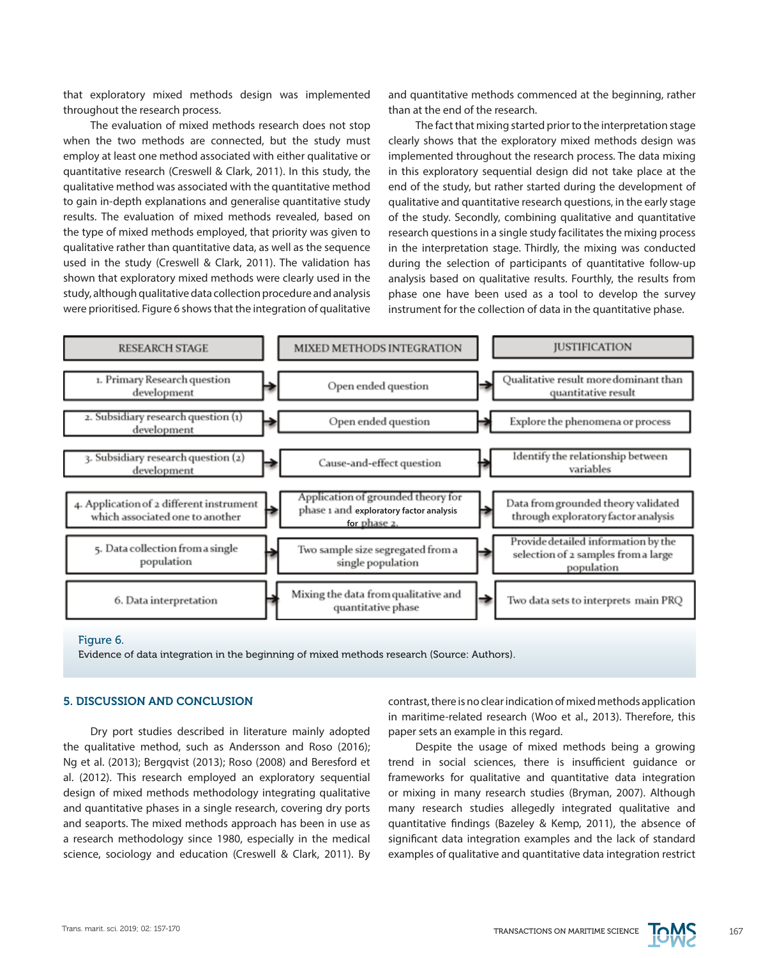that exploratory mixed methods design was implemented throughout the research process.

The evaluation of mixed methods research does not stop when the two methods are connected, but the study must employ at least one method associated with either qualitative or quantitative research (Creswell & Clark, 2011). In this study, the qualitative method was associated with the quantitative method to gain in-depth explanations and generalise quantitative study results. The evaluation of mixed methods revealed, based on the type of mixed methods employed, that priority was given to qualitative rather than quantitative data, as well as the sequence used in the study (Creswell & Clark, 2011). The validation has shown that exploratory mixed methods were clearly used in the study, although qualitative data collection procedure and analysis were prioritised. Figure 6 shows that the integration of qualitative

and quantitative methods commenced at the beginning, rather than at the end of the research.

The fact that mixing started prior to the interpretation stage clearly shows that the exploratory mixed methods design was implemented throughout the research process. The data mixing in this exploratory sequential design did not take place at the end of the study, but rather started during the development of qualitative and quantitative research questions, in the early stage of the study. Secondly, combining qualitative and quantitative research questions in a single study facilitates the mixing process in the interpretation stage. Thirdly, the mixing was conducted during the selection of participants of quantitative follow-up analysis based on qualitative results. Fourthly, the results from phase one have been used as a tool to develop the survey instrument for the collection of data in the quantitative phase.



Figure 6.

Evidence of data integration in the beginning of mixed methods research (Source: Authors).

# 5. DISCUSSION AND CONCLUSION

Dry port studies described in literature mainly adopted the qualitative method, such as Andersson and Roso (2016); Ng et al. (2013); Bergqvist (2013); Roso (2008) and Beresford et al. (2012). This research employed an exploratory sequential design of mixed methods methodology integrating qualitative and quantitative phases in a single research, covering dry ports and seaports. The mixed methods approach has been in use as a research methodology since 1980, especially in the medical science, sociology and education (Creswell & Clark, 2011). By

contrast, there is no clear indication of mixed methods application in maritime-related research (Woo et al., 2013). Therefore, this paper sets an example in this regard.

Despite the usage of mixed methods being a growing trend in social sciences, there is insufficient guidance or frameworks for qualitative and quantitative data integration or mixing in many research studies (Bryman, 2007). Although many research studies allegedly integrated qualitative and quantitative findings (Bazeley & Kemp, 2011), the absence of significant data integration examples and the lack of standard examples of qualitative and quantitative data integration restrict

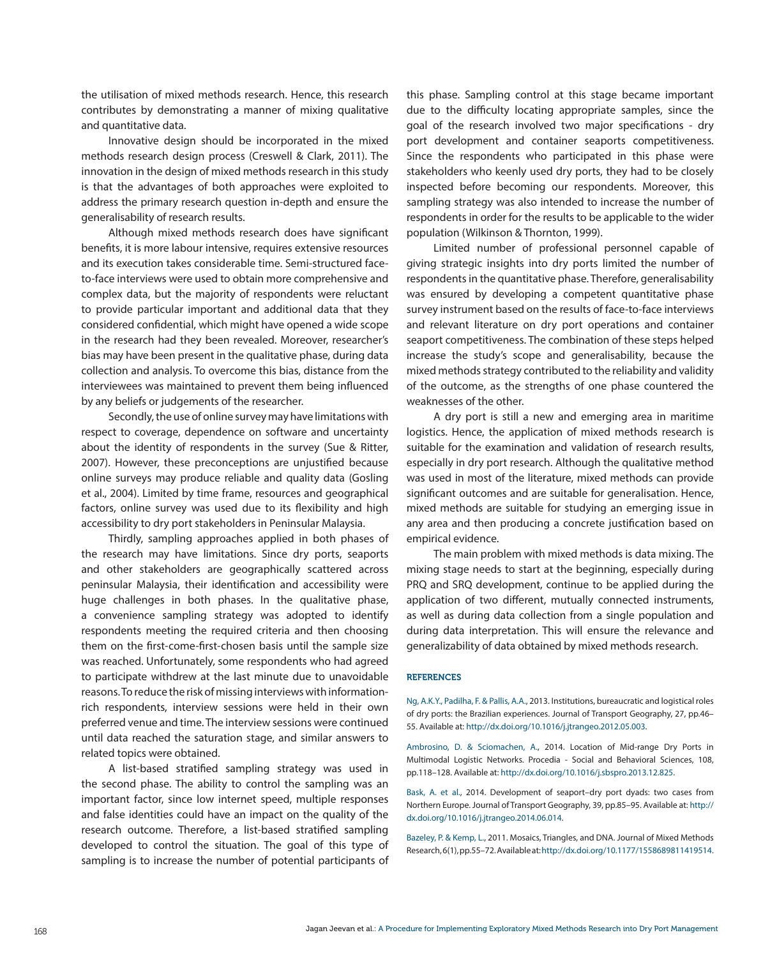the utilisation of mixed methods research. Hence, this research contributes by demonstrating a manner of mixing qualitative and quantitative data.

Innovative design should be incorporated in the mixed methods research design process (Creswell & Clark, 2011). The innovation in the design of mixed methods research in this study is that the advantages of both approaches were exploited to address the primary research question in-depth and ensure the generalisability of research results.

Although mixed methods research does have significant benefits, it is more labour intensive, requires extensive resources and its execution takes considerable time. Semi-structured faceto-face interviews were used to obtain more comprehensive and complex data, but the majority of respondents were reluctant to provide particular important and additional data that they considered confidential, which might have opened a wide scope in the research had they been revealed. Moreover, researcher's bias may have been present in the qualitative phase, during data collection and analysis. To overcome this bias, distance from the interviewees was maintained to prevent them being influenced by any beliefs or judgements of the researcher.

Secondly, the use of online survey may have limitations with respect to coverage, dependence on software and uncertainty about the identity of respondents in the survey (Sue & Ritter, 2007). However, these preconceptions are unjustified because online surveys may produce reliable and quality data (Gosling et al., 2004). Limited by time frame, resources and geographical factors, online survey was used due to its flexibility and high accessibility to dry port stakeholders in Peninsular Malaysia.

Thirdly, sampling approaches applied in both phases of the research may have limitations. Since dry ports, seaports and other stakeholders are geographically scattered across peninsular Malaysia, their identification and accessibility were huge challenges in both phases. In the qualitative phase, a convenience sampling strategy was adopted to identify respondents meeting the required criteria and then choosing them on the first-come-first-chosen basis until the sample size was reached. Unfortunately, some respondents who had agreed to participate withdrew at the last minute due to unavoidable reasons. To reduce the risk of missing interviews with informationrich respondents, interview sessions were held in their own preferred venue and time. The interview sessions were continued until data reached the saturation stage, and similar answers to related topics were obtained.

A list-based stratified sampling strategy was used in the second phase. The ability to control the sampling was an important factor, since low internet speed, multiple responses and false identities could have an impact on the quality of the research outcome. Therefore, a list-based stratified sampling developed to control the situation. The goal of this type of sampling is to increase the number of potential participants of this phase. Sampling control at this stage became important due to the difficulty locating appropriate samples, since the goal of the research involved two major specifications - dry port development and container seaports competitiveness. Since the respondents who participated in this phase were stakeholders who keenly used dry ports, they had to be closely inspected before becoming our respondents. Moreover, this sampling strategy was also intended to increase the number of respondents in order for the results to be applicable to the wider population (Wilkinson & Thornton, 1999).

Limited number of professional personnel capable of giving strategic insights into dry ports limited the number of respondents in the quantitative phase. Therefore, generalisability was ensured by developing a competent quantitative phase survey instrument based on the results of face-to-face interviews and relevant literature on dry port operations and container seaport competitiveness. The combination of these steps helped increase the study's scope and generalisability, because the mixed methods strategy contributed to the reliability and validity of the outcome, as the strengths of one phase countered the weaknesses of the other.

A dry port is still a new and emerging area in maritime logistics. Hence, the application of mixed methods research is suitable for the examination and validation of research results, especially in dry port research. Although the qualitative method was used in most of the literature, mixed methods can provide significant outcomes and are suitable for generalisation. Hence, mixed methods are suitable for studying an emerging issue in any area and then producing a concrete justification based on empirical evidence.

The main problem with mixed methods is data mixing. The mixing stage needs to start at the beginning, especially during PRQ and SRQ development, continue to be applied during the application of two different, mutually connected instruments, as well as during data collection from a single population and during data interpretation. This will ensure the relevance and generalizability of data obtained by mixed methods research.

#### **REFERENCES**

Ng, A.K.Y., Padilha, F. & Pallis, A.A., 2013. Institutions, bureaucratic and logistical roles of dry ports: the Brazilian experiences. Journal of Transport Geography, 27, pp.46– 55. Available at: <http://dx.doi.org/10.1016/j.jtrangeo.2012.05.003>.

Ambrosino, D. & Sciomachen, A., 2014. Location of Mid-range Dry Ports in Multimodal Logistic Networks. Procedia - Social and Behavioral Sciences, 108, pp.118–128. Available at: <http://dx.doi.org/10.1016/j.sbspro.2013.12.825>.

Bask, A. et al., 2014. Development of seaport–dry port dyads: two cases from Northern Europe. Journal of Transport Geography, 39, pp.85–95. Available at: [http://](http://dx.doi.org/10.1016/j.jtrangeo.2014.06.014) [dx.doi.org/10.1016/j.jtrangeo.2014.06.014.](http://dx.doi.org/10.1016/j.jtrangeo.2014.06.014)

Bazeley, P. & Kemp, L., 2011. Mosaics, Triangles, and DNA. Journal of Mixed Methods Research, 6(1), pp.55–72. Available at:<http://dx.doi.org/10.1177/1558689811419514>.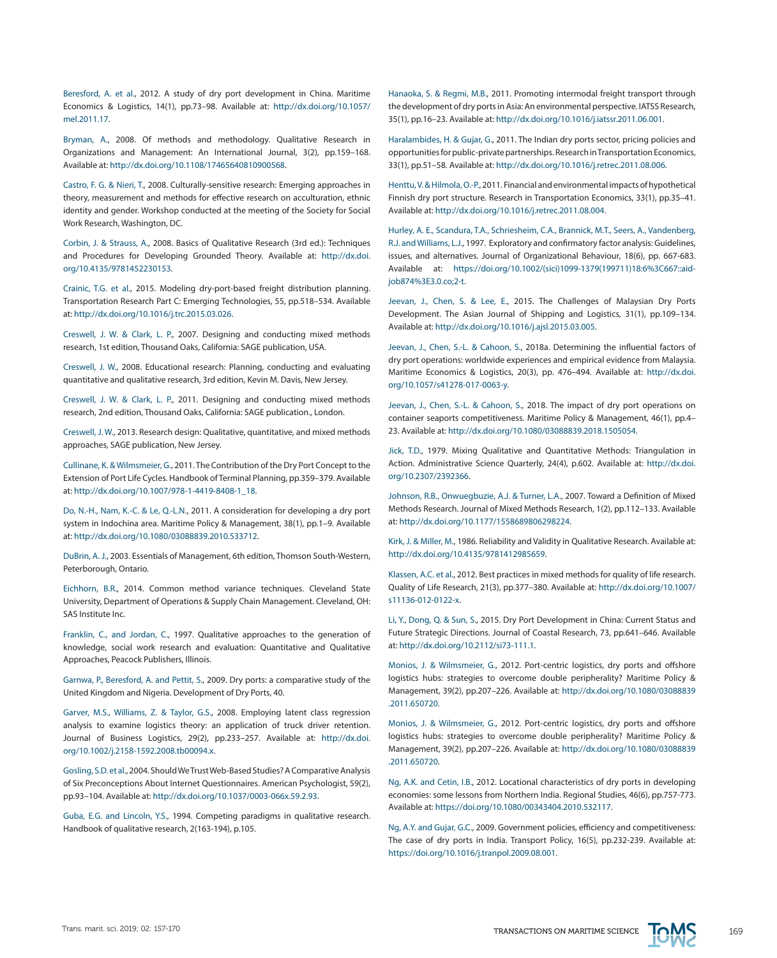Beresford, A. et al., 2012. A study of dry port development in China. Maritime Economics & Logistics, 14(1), pp.73–98. Available at: [http://dx.doi.org/10.1057/](http://dx.doi.org/10.1057/mel.2011.17) [mel.2011.17.](http://dx.doi.org/10.1057/mel.2011.17)

Bryman, A., 2008. Of methods and methodology. Qualitative Research in Organizations and Management: An International Journal, 3(2), pp.159–168. Available at:<http://dx.doi.org/10.1108/17465640810900568>.

Castro, F. G. & Nieri, T., 2008. Culturally-sensitive research: Emerging approaches in theory, measurement and methods for effective research on acculturation, ethnic identity and gender. Workshop conducted at the meeting of the Society for Social Work Research, Washington, DC.

Corbin, J. & Strauss, A., 2008. Basics of Qualitative Research (3rd ed.): Techniques and Procedures for Developing Grounded Theory. Available at: [http://dx.doi.](http://dx.doi.org/10.4135/9781452230153) [org/10.4135/9781452230153](http://dx.doi.org/10.4135/9781452230153).

Crainic, T.G. et al., 2015. Modeling dry-port-based freight distribution planning. Transportation Research Part C: Emerging Technologies, 55, pp.518–534. Available at: [http://dx.doi.org/10.1016/j.trc.2015.03.026.](http://dx.doi.org/10.1016/j.trc.2015.03.026)

Creswell, J. W. & Clark, L. P., 2007. Designing and conducting mixed methods research, 1st edition, Thousand Oaks, California: SAGE publication, USA.

Creswell, J. W., 2008. Educational research: Planning, conducting and evaluating quantitative and qualitative research, 3rd edition, Kevin M. Davis, New Jersey.

Creswell, J. W. & Clark, L. P., 2011. Designing and conducting mixed methods research, 2nd edition, Thousand Oaks, California: SAGE publication., London.

Creswell, J. W., 2013. Research design: Qualitative, quantitative, and mixed methods approaches, SAGE publication, New Jersey.

Cullinane, K. & Wilmsmeier, G., 2011. The Contribution of the Dry Port Concept to the Extension of Port Life Cycles. Handbook of Terminal Planning, pp.359–379. Available at: [http://dx.doi.org/10.1007/978-1-4419-8408-1\\_18](http://dx.doi.org/10.1007/978-1-4419-8408-1_18).

Do, N.-H., Nam, K.-C. & Le, Q.-L.N., 2011. A consideration for developing a dry port system in Indochina area. Maritime Policy & Management, 38(1), pp.1–9. Available at: [http://dx.doi.org/10.1080/03088839.2010.533712.](http://dx.doi.org/10.1080/03088839.2010.533712)

DuBrin, A. J., 2003. Essentials of Management, 6th edition, Thomson South-Western, Peterborough, Ontario.

Eichhorn, B.R., 2014. Common method variance techniques. Cleveland State University, Department of Operations & Supply Chain Management. Cleveland, OH: SAS Institute Inc.

Franklin, C., and Jordan, C., 1997. Qualitative approaches to the generation of knowledge, social work research and evaluation: Quantitative and Qualitative Approaches, Peacock Publishers, Illinois.

Garnwa, P., Beresford, A. and Pettit, S., 2009. Dry ports: a comparative study of the United Kingdom and Nigeria. Development of Dry Ports, 40.

Garver, M.S., Williams, Z. & Taylor, G.S., 2008. Employing latent class regression analysis to examine logistics theory: an application of truck driver retention. Journal of Business Logistics, 29(2), pp.233–257. Available at: [http://dx.doi.](http://dx.doi.org/10.1002/j.2158-1592.2008.tb00094.x) [org/10.1002/j.2158-1592.2008.tb00094.x.](http://dx.doi.org/10.1002/j.2158-1592.2008.tb00094.x)

Gosling, S.D. et al., 2004. Should We Trust Web-Based Studies? A Comparative Analysis of Six Preconceptions About Internet Questionnaires. American Psychologist, 59(2), pp.93–104. Available at: [http://dx.doi.org/10.1037/0003-066x.59.2.93.](http://dx.doi.org/10.1037/0003-066x.59.2.93)

Guba, E.G. and Lincoln, Y.S., 1994. Competing paradigms in qualitative research. Handbook of qualitative research, 2(163-194), p.105.

Hanaoka, S. & Regmi, M.B., 2011. Promoting intermodal freight transport through the development of dry ports in Asia: An environmental perspective. IATSS Research, 35(1), pp.16–23. Available at: [http://dx.doi.org/10.1016/j.iatssr.2011.06.001.](http://dx.doi.org/10.1016/j.iatssr.2011.06.001)

Haralambides, H. & Gujar, G., 2011. The Indian dry ports sector, pricing policies and opportunities for public-private partnerships. Research in Transportation Economics, 33(1), pp.51–58. Available at: [http://dx.doi.org/10.1016/j.retrec.2011.08.006.](http://dx.doi.org/10.1016/j.retrec.2011.08.006)

Henttu, V. & Hilmola, O.-P., 2011. Financial and environmental impacts of hypothetical Finnish dry port structure. Research in Transportation Economics, 33(1), pp.35–41. Available at:<http://dx.doi.org/10.1016/j.retrec.2011.08.004>.

Hurley, A. E., Scandura, T.A., Schriesheim, C.A., Brannick, M.T., Seers, A., Vandenberg, R.J. and Williams, L.J., 1997. Exploratory and confirmatory factor analysis: Guidelines, issues, and alternatives. Journal of Organizational Behaviour, 18(6), pp. 667-683. Available at: [https://doi.org/10.1002/\(sici\)1099-1379\(199711\)18:6%3C667::aid](https://doi.org/10.1002/%28sici%291099-1379%28199711%2918:6%253C667::aid-job874%253E3.0.co%3B2-t)[job874%3E3.0.co;2-t](https://doi.org/10.1002/%28sici%291099-1379%28199711%2918:6%253C667::aid-job874%253E3.0.co%3B2-t).

Jeevan, J., Chen, S. & Lee, E., 2015. The Challenges of Malaysian Dry Ports Development. The Asian Journal of Shipping and Logistics, 31(1), pp.109–134. Available at: [http://dx.doi.org/10.1016/j.ajsl.2015.03.005.](http://dx.doi.org/10.1016/j.ajsl.2015.03.005)

Jeevan, J., Chen, S.-L. & Cahoon, S., 2018a. Determining the influential factors of dry port operations: worldwide experiences and empirical evidence from Malaysia. Maritime Economics & Logistics, 20(3), pp. 476–494. Available at: [http://dx.doi.](http://dx.doi.org/10.1057/s41278-017-0063-y) [org/10.1057/s41278-017-0063-y.](http://dx.doi.org/10.1057/s41278-017-0063-y)

Jeevan, J., Chen, S.-L. & Cahoon, S., 2018. The impact of dry port operations on container seaports competitiveness. Maritime Policy & Management, 46(1), pp.4– 23. Available at: [http://dx.doi.org/10.1080/03088839.2018.1505054.](http://dx.doi.org/10.1080/03088839.2018.1505054)

Jick, T.D., 1979. Mixing Qualitative and Quantitative Methods: Triangulation in Action. Administrative Science Quarterly, 24(4), p.602. Available at: [http://dx.doi.](http://dx.doi.org/10.2307/2392366) [org/10.2307/2392366.](http://dx.doi.org/10.2307/2392366)

Johnson, R.B., Onwuegbuzie, A.J. & Turner, L.A., 2007. Toward a Definition of Mixed Methods Research. Journal of Mixed Methods Research, 1(2), pp.112–133. Available at: [http://dx.doi.org/10.1177/1558689806298224.](http://dx.doi.org/10.1177/1558689806298224)

Kirk, J. & Miller, M., 1986. Reliability and Validity in Qualitative Research. Available at: <http://dx.doi.org/10.4135/9781412985659>.

Klassen, A.C. et al., 2012. Best practices in mixed methods for quality of life research. Quality of Life Research, 21(3), pp.377–380. Available at: [http://dx.doi.org/10.1007/](http://dx.doi.org/10.1007/s11136-012-0122-x) [s11136-012-0122-x](http://dx.doi.org/10.1007/s11136-012-0122-x).

Li, Y., Dong, Q. & Sun, S., 2015. Dry Port Development in China: Current Status and Future Strategic Directions. Journal of Coastal Research, 73, pp.641–646. Available at: [http://dx.doi.org/10.2112/si73-111.1.](http://dx.doi.org/10.2112/si73-111.1)

Monios, J. & Wilmsmeier, G., 2012. Port-centric logistics, dry ports and offshore logistics hubs: strategies to overcome double peripherality? Maritime Policy & Management, 39(2), pp.207–226. Available at: [http://dx.doi.org/10.1080/03088839](http://dx.doi.org/10.1080/03088839.2011.650720) [.2011.650720.](http://dx.doi.org/10.1080/03088839.2011.650720)

Monios, J. & Wilmsmeier, G., 2012. Port-centric logistics, dry ports and offshore logistics hubs: strategies to overcome double peripherality? Maritime Policy & Management, 39(2), pp.207–226. Available at: [http://dx.doi.org/10.1080/03088839](http://dx.doi.org/10.1080/03088839.2011.650720) [.2011.650720.](http://dx.doi.org/10.1080/03088839.2011.650720)

Ng, A.K. and Cetin, I.B., 2012. Locational characteristics of dry ports in developing economies: some lessons from Northern India. Regional Studies, 46(6), pp.757-773. Available at:<https://doi.org/10.1080/00343404.2010.532117>.

Ng, A.Y. and Gujar, G.C., 2009. Government policies, efficiency and competitiveness: The case of dry ports in India. Transport Policy, 16(5), pp.232-239. Available at: [https://doi.org/10.1016/j.tranpol.2009.08.001.](https://doi.org/10.1016/j.tranpol.2009.08.001)